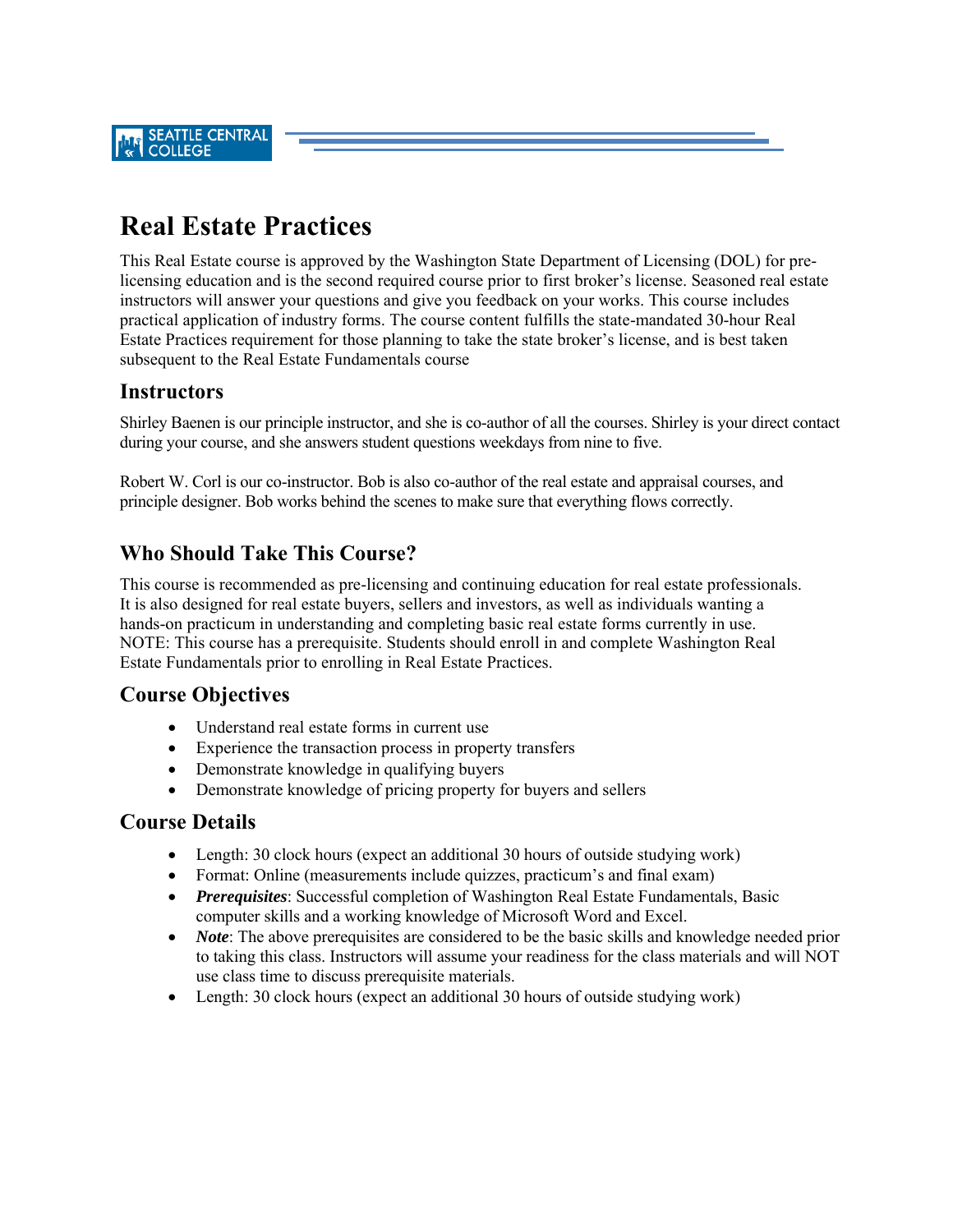# **Real Estate Practices**

This Real Estate course is approved by the Washington State Department of Licensing (DOL) for prelicensing education and is the second required course prior to first broker's license. Seasoned real estate instructors will answer your questions and give you feedback on your works. This course includes practical application of industry forms. The course content fulfills the state-mandated 30-hour Real Estate Practices requirement for those planning to take the state broker's license, and is best taken subsequent to the Real Estate Fundamentals course

# **Instructors**

Shirley Baenen is our principle instructor, and she is co-author of all the courses. Shirley is your direct contact during your course, and she answers student questions weekdays from nine to five.

Robert W. Corl is our co-instructor. Bob is also co-author of the real estate and appraisal courses, and principle designer. Bob works behind the scenes to make sure that everything flows correctly.

# **Who Should Take This Course?**

This course is recommended as pre-licensing and continuing education for real estate professionals. It is also designed for real estate buyers, sellers and investors, as well as individuals wanting a hands-on practicum in understanding and completing basic real estate forms currently in use. NOTE: This course has a prerequisite. Students should enroll in and complete Washington Real Estate Fundamentals prior to enrolling in Real Estate Practices.

## **Course Objectives**

- Understand real estate forms in current use
- Experience the transaction process in property transfers
- Demonstrate knowledge in qualifying buyers
- Demonstrate knowledge of pricing property for buyers and sellers

### **Course Details**

- Length: 30 clock hours (expect an additional 30 hours of outside studying work)
- Format: Online (measurements include quizzes, practicum's and final exam)
- *Prerequisites*: Successful completion of Washington Real Estate Fundamentals, Basic computer skills and a working knowledge of Microsoft Word and Excel.
- *Note*: The above prerequisites are considered to be the basic skills and knowledge needed prior to taking this class. Instructors will assume your readiness for the class materials and will NOT use class time to discuss prerequisite materials.
- Length: 30 clock hours (expect an additional 30 hours of outside studying work)